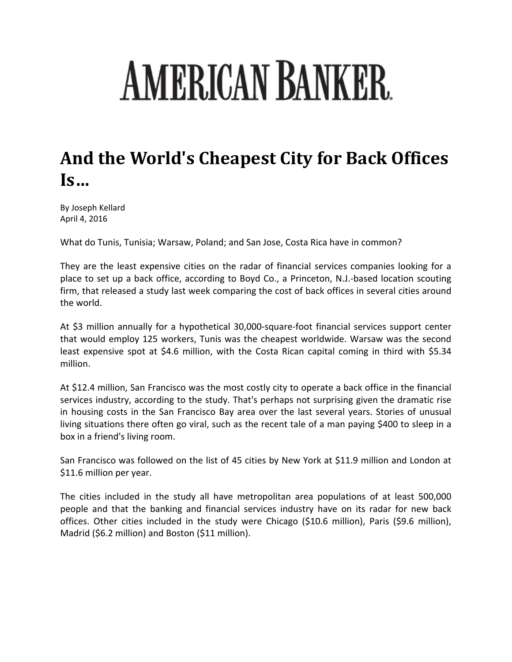## **AMERICAN BANKER**

## **And the World's Cheapest City for Back Offices Is…**

By Joseph Kellard April 4, 2016

What do Tunis, Tunisia; Warsaw, Poland; and San Jose, Costa Rica have in common?

They are the least expensive cities on the radar of financial services companies looking for a place to set up a back office, according to Boyd Co., a Princeton, N.J.‐based location scouting firm, that released a study last week comparing the cost of back offices in several cities around the world.

At \$3 million annually for a hypothetical 30,000‐square‐foot financial services support center that would employ 125 workers, Tunis was the cheapest worldwide. Warsaw was the second least expensive spot at \$4.6 million, with the Costa Rican capital coming in third with \$5.34 million.

At \$12.4 million, San Francisco was the most costly city to operate a back office in the financial services industry, according to the study. That's perhaps not surprising given the dramatic rise in housing costs in the San Francisco Bay area over the last several years. Stories of unusual living situations there often go viral, such as the recent tale of a man paying \$400 to sleep in a box in a friend's living room.

San Francisco was followed on the list of 45 cities by New York at \$11.9 million and London at \$11.6 million per year.

The cities included in the study all have metropolitan area populations of at least 500,000 people and that the banking and financial services industry have on its radar for new back offices. Other cities included in the study were Chicago (\$10.6 million), Paris (\$9.6 million), Madrid (\$6.2 million) and Boston (\$11 million).